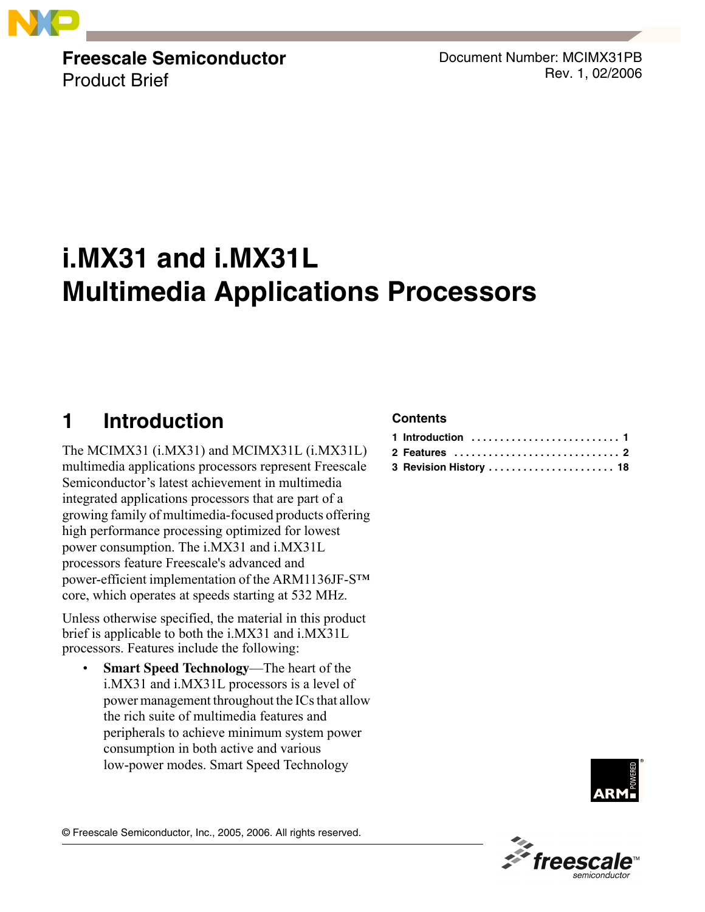

**Freescale Semiconductor** Product Brief

Document Number: MCIMX31PB Rev. 1, 02/2006

# **i.MX31 and i.MX31L Multimedia Applications Processors**

# <span id="page-0-0"></span>**1 Introduction**

The MCIMX31 (i.MX31) and MCIMX31L (i.MX31L) multimedia applications processors represent Freescale Semiconductor's latest achievement in multimedia integrated applications processors that are part of a growing family of multimedia-focused products offering high performance processing optimized for lowest power consumption. The i.MX31 and i.MX31L processors feature Freescale's advanced and power-efficient implementation of the ARM1136JF- $S^{TM}$ core, which operates at speeds starting at 532 MHz.

Unless otherwise specified, the material in this product brief is applicable to both the i.MX31 and i.MX31L processors. Features include the following:

**Smart Speed Technology—The heart of the** i.MX31 and i.MX31L processors is a level of power management throughout the ICs that allow the rich suite of multimedia features and peripherals to achieve minimum system power consumption in both active and various low-power modes. Smart Speed Technology

### **Contents**

| 2 Features  2          |  |
|------------------------|--|
| 3 Revision History  18 |  |





© Freescale Semiconductor, Inc., 2005, 2006. All rights reserved.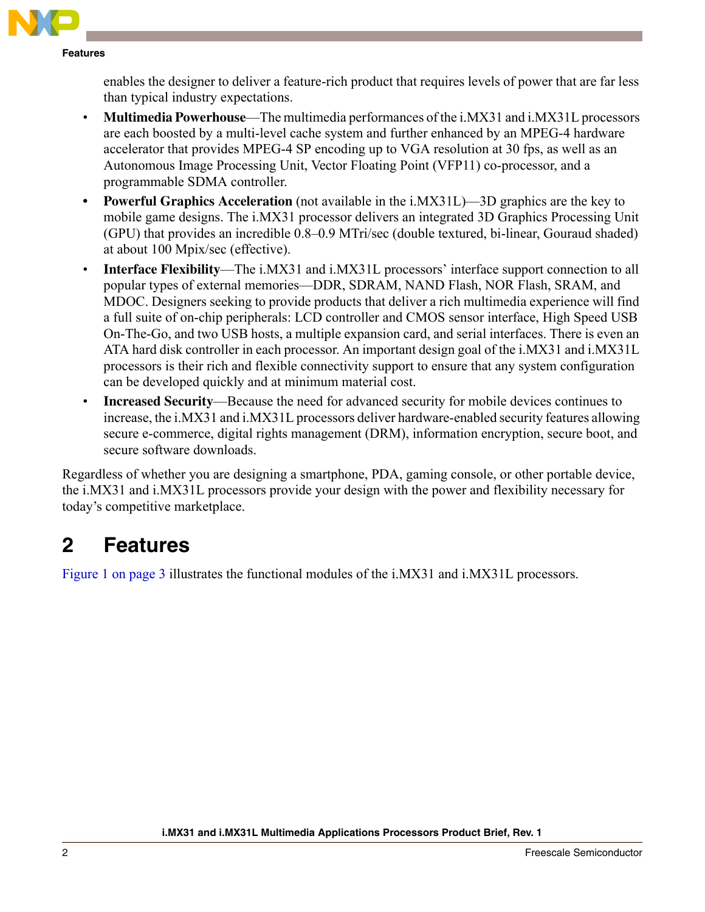enables the designer to deliver a feature-rich product that requires levels of power that are far less than typical industry expectations.

- **Multimedia Powerhouse**—The multimedia performances of the i.MX31 and i.MX31L processors are each boosted by a multi-level cache system and further enhanced by an MPEG-4 hardware accelerator that provides MPEG-4 SP encoding up to VGA resolution at 30 fps, as well as an Autonomous Image Processing Unit, Vector Floating Point (VFP11) co-processor, and a programmable SDMA controller.
- **Powerful Graphics Acceleration** (not available in the i.MX31L)—3D graphics are the key to mobile game designs. The i.MX31 processor delivers an integrated 3D Graphics Processing Unit (GPU) that provides an incredible 0.8–0.9 MTri/sec (double textured, bi-linear, Gouraud shaded) at about 100 Mpix/sec (effective).
- **Interface Flexibility**—The i.MX31 and i.MX31L processors' interface support connection to all popular types of external memories—DDR, SDRAM, NAND Flash, NOR Flash, SRAM, and MDOC. Designers seeking to provide products that deliver a rich multimedia experience will find a full suite of on-chip peripherals: LCD controller and CMOS sensor interface, High Speed USB On-The-Go, and two USB hosts, a multiple expansion card, and serial interfaces. There is even an ATA hard disk controller in each processor. An important design goal of the i.MX31 and i.MX31L processors is their rich and flexible connectivity support to ensure that any system configuration can be developed quickly and at minimum material cost.
- **Increased Security—Because the need for advanced security for mobile devices continues to** increase, the i.MX31 and i.MX31L processors deliver hardware-enabled security features allowing secure e-commerce, digital rights management (DRM), information encryption, secure boot, and secure software downloads.

Regardless of whether you are designing a smartphone, PDA, gaming console, or other portable device, the i.MX31 and i.MX31L processors provide your design with the power and flexibility necessary for today's competitive marketplace.

# <span id="page-1-0"></span>**2 Features**

Figure 1 on page 3 illustrates the functional modules of the i.MX31 and i.MX31L processors.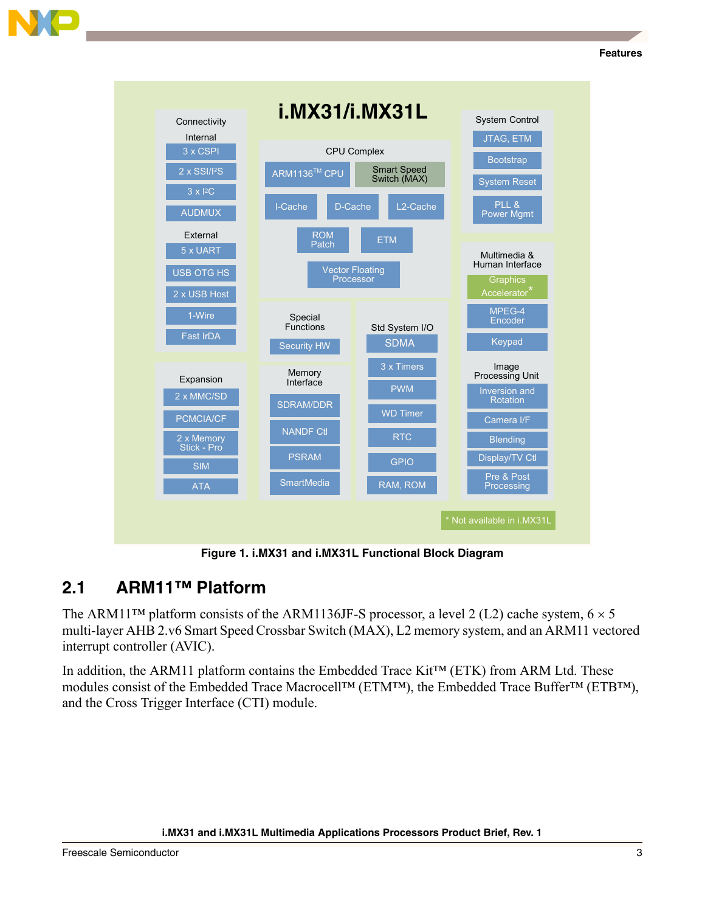

**Figure 1. i.MX31 and i.MX31L Functional Block Diagram**

# **2.1 ARM11™ Platform**

The ARM11<sup>TM</sup> platform consists of the ARM1136JF-S processor, a level 2 (L2) cache system,  $6 \times 5$ multi-layer AHB 2.v6 Smart Speed Crossbar Switch (MAX), L2 memory system, and an ARM11 vectored interrupt controller (AVIC).

In addition, the ARM11 platform contains the Embedded Trace Kit<sup>TM</sup> (ETK) from ARM Ltd. These modules consist of the Embedded Trace Macrocell<sup>TM</sup> (ETM<sup>TM</sup>), the Embedded Trace Buffer<sup>TM</sup> (ETB<sup>TM</sup>), and the Cross Trigger Interface (CTI) module.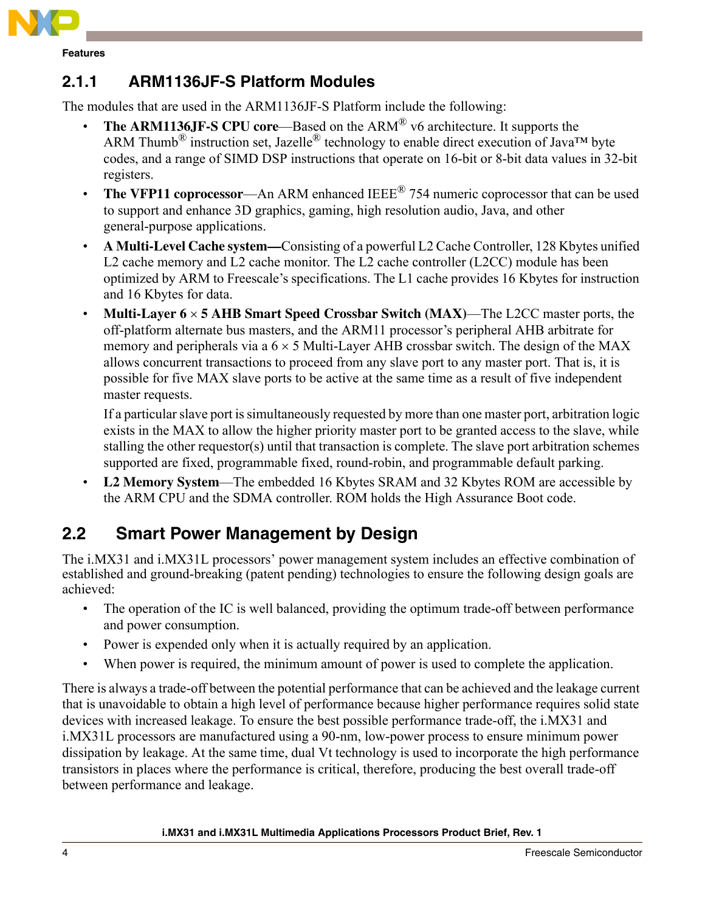

### **2.1.1 ARM1136JF-S Platform Modules**

The modules that are used in the ARM1136JF-S Platform include the following:

- **The ARM1136JF-S CPU core—Based on the ARM<sup>®</sup> v6 architecture. It supports the** ARM Thumb<sup>®</sup> instruction set, Jazelle<sup>®</sup> technology to enable direct execution of Java<sup>TM</sup> byte codes, and a range of SIMD DSP instructions that operate on 16-bit or 8-bit data values in 32-bit registers.
- **The VFP11 coprocessor**—An ARM enhanced IEEE<sup>®</sup> 754 numeric coprocessor that can be used to support and enhance 3D graphics, gaming, high resolution audio, Java, and other general-purpose applications.
- ï **A Multi-Level Cache system—**Consisting of a powerful L2 Cache Controller, 128 Kbytes unified L2 cache memory and L2 cache monitor. The L2 cache controller (L2CC) module has been optimized by ARM to Freescale's specifications. The L1 cache provides 16 Kbytes for instruction and 16 Kbytes for data.
- **Multi-Layer 6**  $\times$  **5 AHB Smart Speed Crossbar Switch (MAX)**—The L2CC master ports, the off-platform alternate bus masters, and the ARM11 processor's peripheral AHB arbitrate for memory and peripherals via a  $6 \times 5$  Multi-Layer AHB crossbar switch. The design of the MAX allows concurrent transactions to proceed from any slave port to any master port. That is, it is possible for five MAX slave ports to be active at the same time as a result of five independent master requests.

If a particular slave port is simultaneously requested by more than one master port, arbitration logic exists in the MAX to allow the higher priority master port to be granted access to the slave, while stalling the other requestor(s) until that transaction is complete. The slave port arbitration schemes supported are fixed, programmable fixed, round-robin, and programmable default parking.

**L2 Memory System—The embedded 16 Kbytes SRAM and 32 Kbytes ROM are accessible by** the ARM CPU and the SDMA controller. ROM holds the High Assurance Boot code.

# **2.2 Smart Power Management by Design**

The i.MX31 and i.MX31L processors' power management system includes an effective combination of established and ground-breaking (patent pending) technologies to ensure the following design goals are achieved:

- The operation of the IC is well balanced, providing the optimum trade-off between performance and power consumption.
- Power is expended only when it is actually required by an application.
- When power is required, the minimum amount of power is used to complete the application.

There is always a trade-off between the potential performance that can be achieved and the leakage current that is unavoidable to obtain a high level of performance because higher performance requires solid state devices with increased leakage. To ensure the best possible performance trade-off, the i.MX31 and i.MX31L processors are manufactured using a 90-nm, low-power process to ensure minimum power dissipation by leakage. At the same time, dual Vt technology is used to incorporate the high performance transistors in places where the performance is critical, therefore, producing the best overall trade-off between performance and leakage.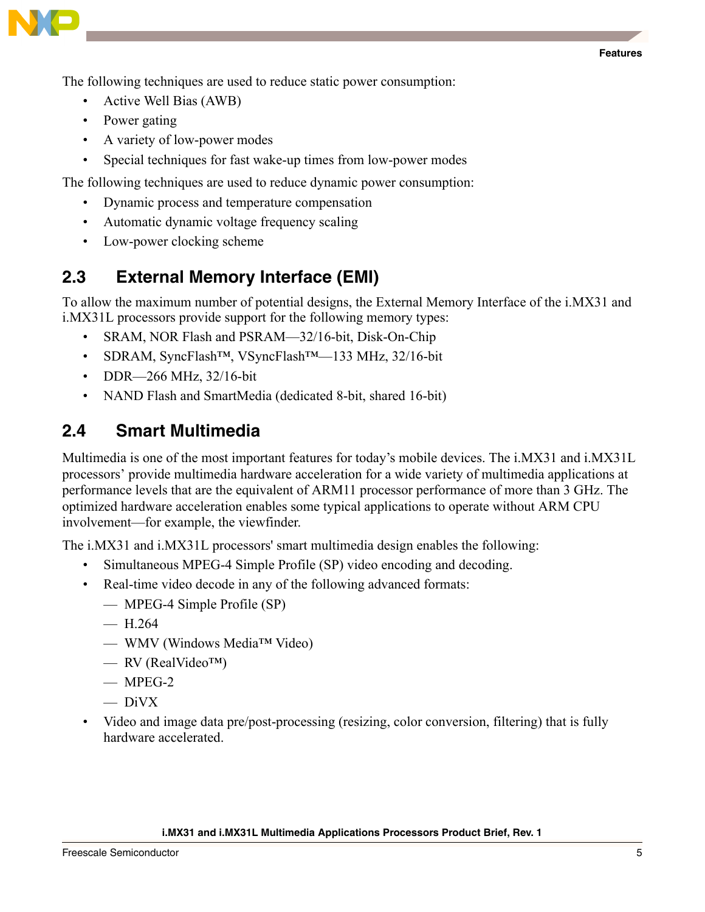

The following techniques are used to reduce static power consumption:

- Active Well Bias (AWB)
- Power gating
- A variety of low-power modes
- Special techniques for fast wake-up times from low-power modes

The following techniques are used to reduce dynamic power consumption:

- Dynamic process and temperature compensation
- Automatic dynamic voltage frequency scaling
- Low-power clocking scheme

## **2.3 External Memory Interface (EMI)**

To allow the maximum number of potential designs, the External Memory Interface of the i.MX31 and i.MX31L processors provide support for the following memory types:

- SRAM, NOR Flash and PSRAM—32/16-bit, Disk-On-Chip
- SDRAM, SyncFlash<sup>™</sup>, VSyncFlash<sup>™</sup>—133 MHz, 32/16-bit
- DDR $-266$  MHz,  $32/16$ -bit
- NAND Flash and SmartMedia (dedicated 8-bit, shared 16-bit)

### **2.4 Smart Multimedia**

Multimedia is one of the most important features for today's mobile devices. The i.MX31 and i.MX31L processors' provide multimedia hardware acceleration for a wide variety of multimedia applications at performance levels that are the equivalent of ARM11 processor performance of more than 3 GHz. The optimized hardware acceleration enables some typical applications to operate without ARM CPU involvement—for example, the viewfinder.

The i.MX31 and i.MX31L processors' smart multimedia design enables the following:

- Simultaneous MPEG-4 Simple Profile (SP) video encoding and decoding.
- Real-time video decode in any of the following advanced formats:
	- ó MPEG-4 Simple Profile (SP)
	- $-$  H 264
	- WMV (Windows Media<sup>TM</sup> Video)
	- $-$  RV (RealVideo<sup>TM</sup>)
	- $-$  MPEG-2
	- $-\overline{DivX}$
- ï Video and image data pre/post-processing (resizing, color conversion, filtering) that is fully hardware accelerated.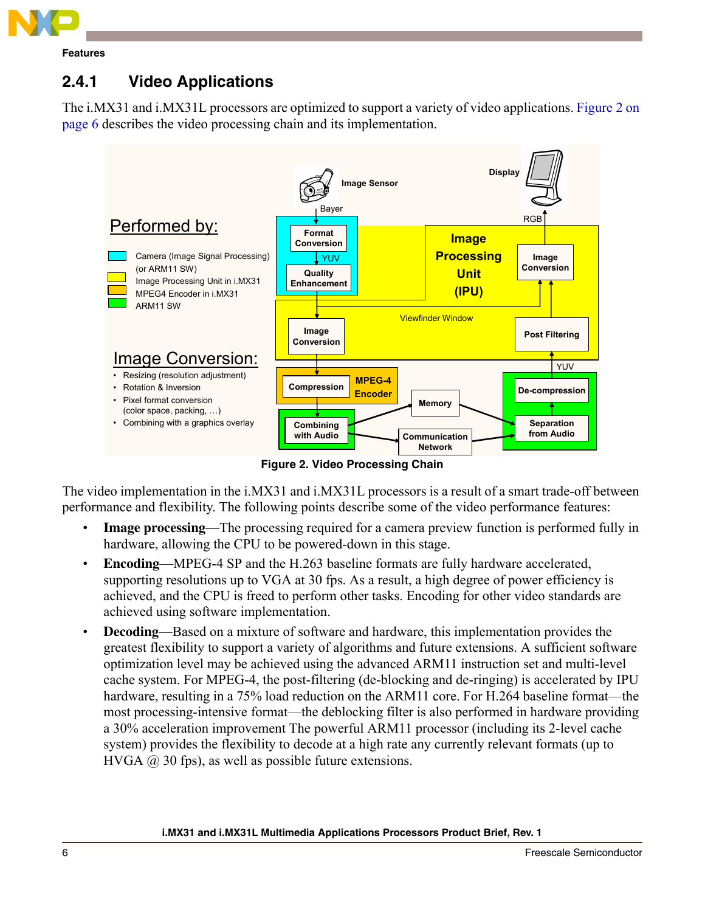

# **2.4.1 Video Applications**

The i.MX31 and i.MX31L processors are optimized to support a variety of video applications. [Figure 2 on](#page-5-0)  [page 6](#page-5-0) describes the video processing chain and its implementation.



**Figure 2. Video Processing Chain**

<span id="page-5-0"></span>The video implementation in the i.MX31 and i.MX31L processors is a result of a smart trade-off between performance and flexibility. The following points describe some of the video performance features:

- **Image processing—The processing required for a camera preview function is performed fully in** hardware, allowing the CPU to be powered-down in this stage.
- **Encoding—MPEG-4 SP and the H.263 baseline formats are fully hardware accelerated,** supporting resolutions up to VGA at 30 fps. As a result, a high degree of power efficiency is achieved, and the CPU is freed to perform other tasks. Encoding for other video standards are achieved using software implementation.
- **Decoding—Based on a mixture of software and hardware, this implementation provides the** greatest flexibility to support a variety of algorithms and future extensions. A sufficient software optimization level may be achieved using the advanced ARM11 instruction set and multi-level cache system. For MPEG-4, the post-filtering (de-blocking and de-ringing) is accelerated by IPU hardware, resulting in a 75% load reduction on the ARM11 core. For H.264 baseline format—the most processing-intensive format—the deblocking filter is also performed in hardware providing a 30% acceleration improvement The powerful ARM11 processor (including its 2-level cache system) provides the flexibility to decode at a high rate any currently relevant formats (up to  $HVGA$   $@$  30 fps), as well as possible future extensions.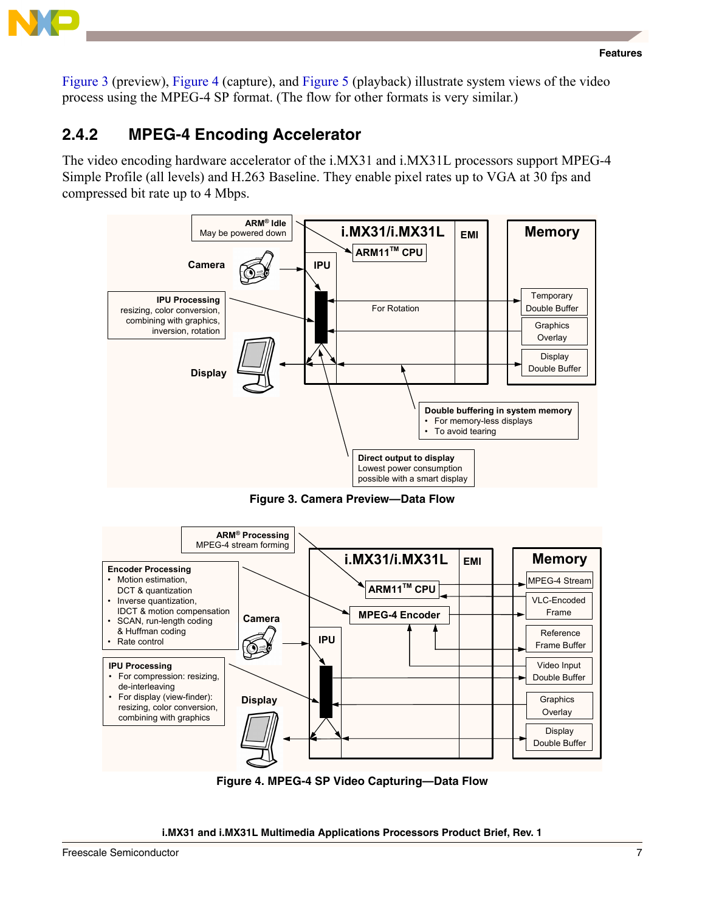

[Figure 3](#page-6-0) (preview), Figure 4 (capture), and Figure 5 (playback) illustrate system views of the video process using the MPEG-4 SP format. (The flow for other formats is very similar.)

### **2.4.2 MPEG-4 Encoding Accelerator**

The video encoding hardware accelerator of the i.MX31 and i.MX31L processors support MPEG-4 Simple Profile (all levels) and H.263 Baseline. They enable pixel rates up to VGA at 30 fps and compressed bit rate up to 4 Mbps.



**Figure 3. Camera Preview—Data Flow**

<span id="page-6-0"></span>

**Figure 4. MPEG-4 SP Video Capturing—Data Flow**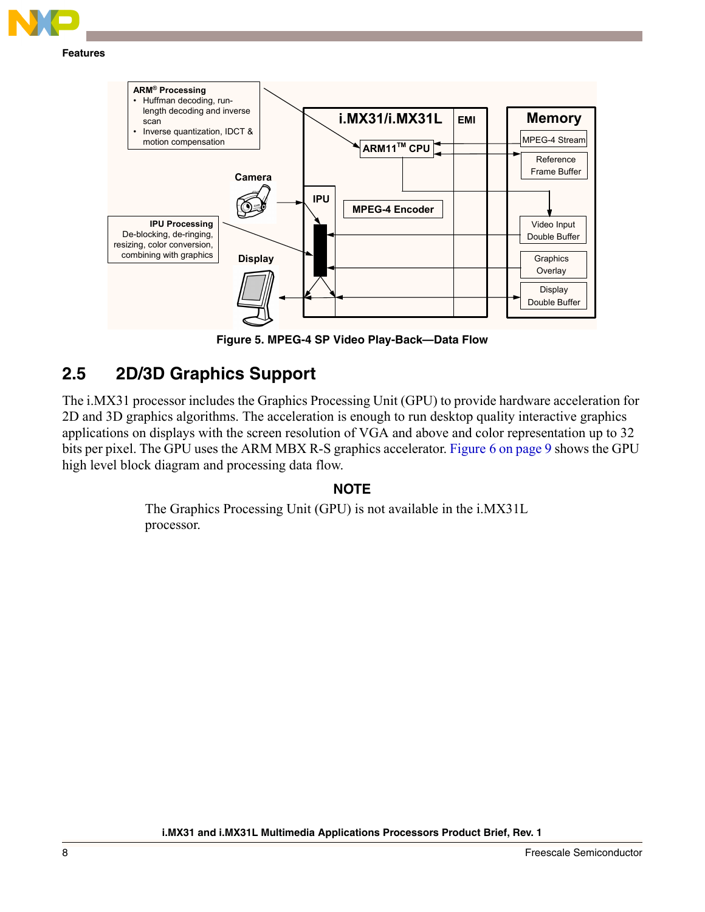

#### **Memory Camera IPU ARM11TM CPU MPEG-4 Encoder i.MX31/i.MX31L EMI Display** Display Double Buffer **Graphics Overlay** Video Input Double Buffer Reference Frame Buffer MPEG-4 Stream **ARMÆ Processing** Huffman decoding, runlength decoding and inverse scan Inverse quantization, IDCT & motion compensation **IPU Processing** De-blocking, de-ringing, resizing, color conversion, combining with graphics

**Figure 5. MPEG-4 SP Video Play-Back—Data Flow**

# **2.5 2D/3D Graphics Support**

The i.MX31 processor includes the Graphics Processing Unit (GPU) to provide hardware acceleration for 2D and 3D graphics algorithms. The acceleration is enough to run desktop quality interactive graphics applications on displays with the screen resolution of VGA and above and color representation up to 32 bits per pixel. The GPU uses the ARM MBX R-S graphics accelerator. Figure 6 on page 9 shows the GPU high level block diagram and processing data flow.

### **NOTE**

The Graphics Processing Unit (GPU) is not available in the i.MX31L processor.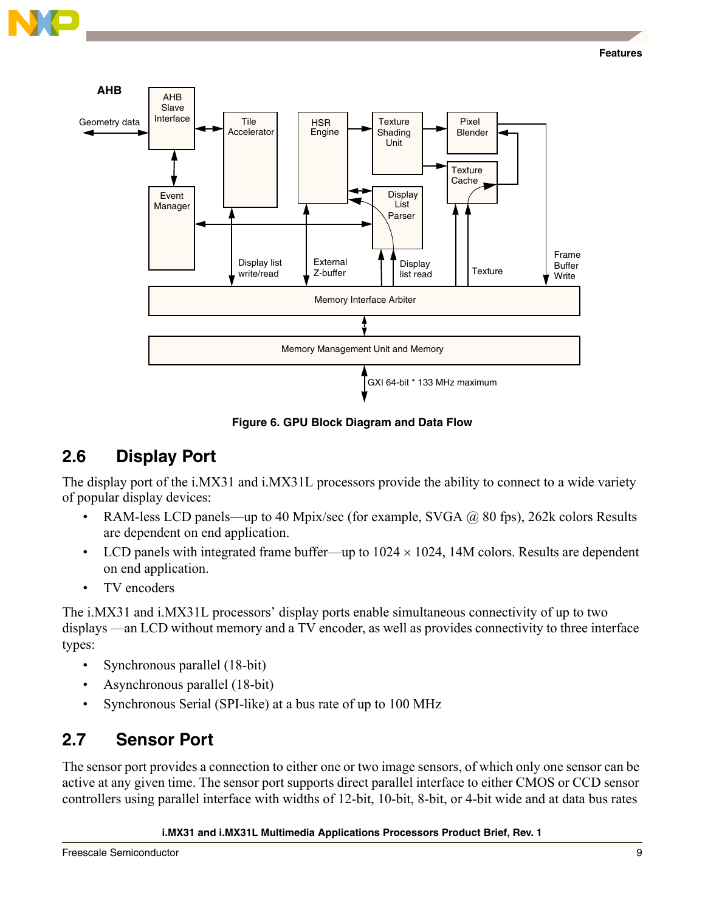



**Figure 6. GPU Block Diagram and Data Flow**

### **2.6 Display Port**

The display port of the i.MX31 and i.MX31L processors provide the ability to connect to a wide variety of popular display devices:

- RAM-less LCD panels—up to 40 Mpix/sec (for example, SVGA  $\omega$  80 fps), 262k colors Results are dependent on end application.
- LCD panels with integrated frame buffer—up to  $1024 \times 1024$ , 14M colors. Results are dependent on end application.
- TV encoders

The i.MX31 and i.MX31L processors' display ports enable simultaneous connectivity of up to two displays —an LCD without memory and a TV encoder, as well as provides connectivity to three interface types:

- Synchronous parallel (18-bit)
- Asynchronous parallel (18-bit)
- Synchronous Serial (SPI-like) at a bus rate of up to 100 MHz

# **2.7 Sensor Port**

The sensor port provides a connection to either one or two image sensors, of which only one sensor can be active at any given time. The sensor port supports direct parallel interface to either CMOS or CCD sensor controllers using parallel interface with widths of 12-bit, 10-bit, 8-bit, or 4-bit wide and at data bus rates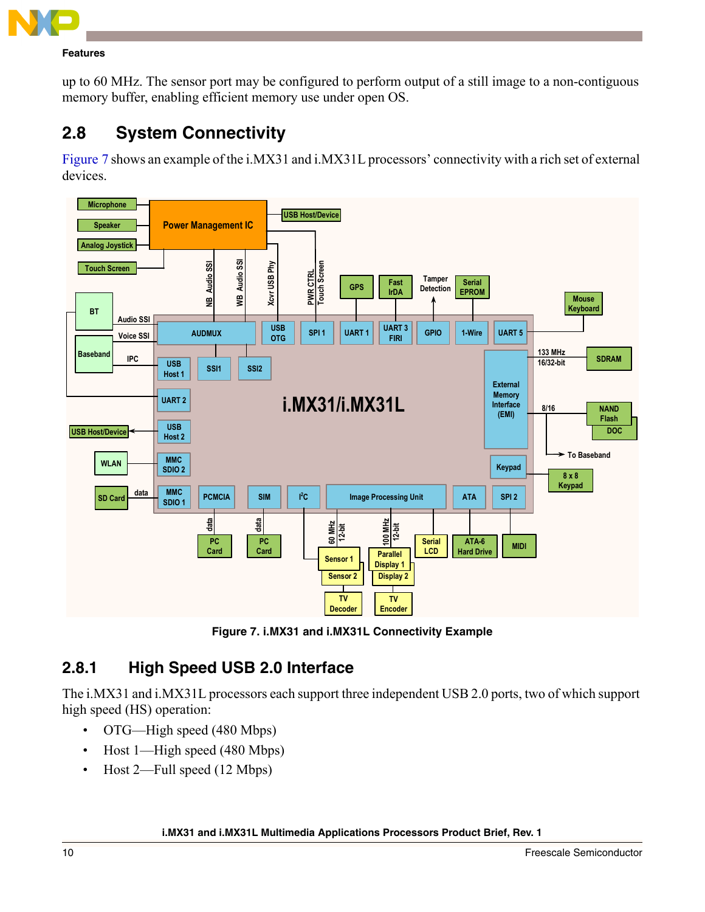

up to 60 MHz. The sensor port may be configured to perform output of a still image to a non-contiguous memory buffer, enabling efficient memory use under open OS.

# **2.8 System Connectivity**

[Figure 7](#page-9-0) shows an example of the i.MX31 and i.MX31L processors' connectivity with a rich set of external devices.



**Figure 7. i.MX31 and i.MX31L Connectivity Example**

### <span id="page-9-0"></span>**2.8.1 High Speed USB 2.0 Interface**

The i.MX31 and i.MX31L processors each support three independent USB 2.0 ports, two of which support high speed (HS) operation:

- $\cdot$  OTG—High speed (480 Mbps)
- $\cdot$  Host 1—High speed (480 Mbps)
- Host 2—Full speed (12 Mbps)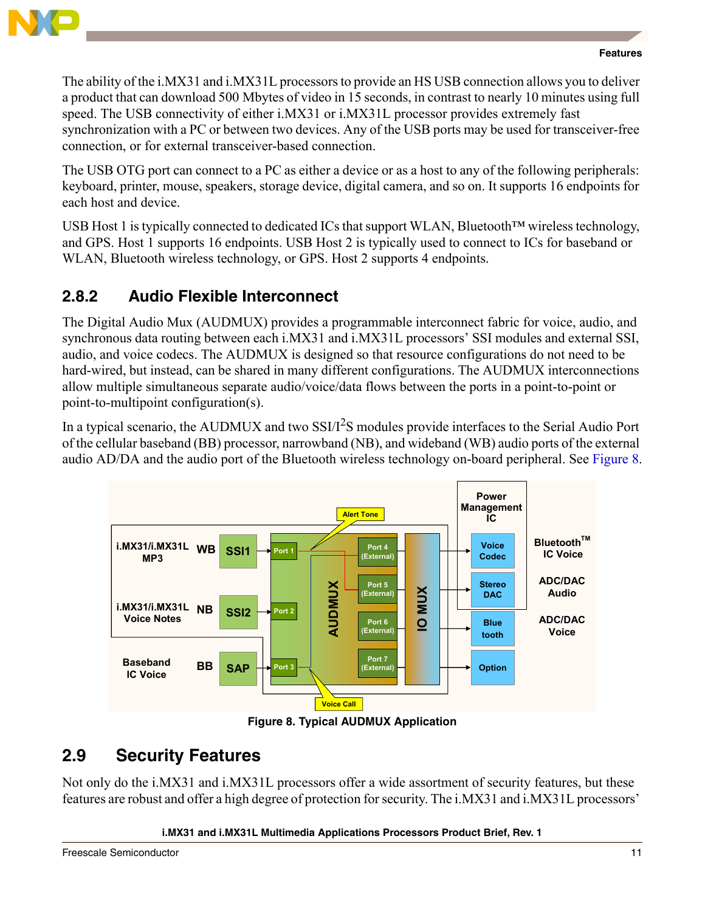

The ability of the i.MX31 and i.MX31L processors to provide an HS USB connection allows you to deliver a product that can download 500 Mbytes of video in 15 seconds, in contrast to nearly 10 minutes using full speed. The USB connectivity of either i.MX31 or i.MX31L processor provides extremely fast synchronization with a PC or between two devices. Any of the USB ports may be used for transceiver-free connection, or for external transceiver-based connection.

The USB OTG port can connect to a PC as either a device or as a host to any of the following peripherals: keyboard, printer, mouse, speakers, storage device, digital camera, and so on. It supports 16 endpoints for each host and device.

USB Host 1 is typically connected to dedicated ICs that support WLAN, Bluetooth<sup>TM</sup> wireless technology, and GPS. Host 1 supports 16 endpoints. USB Host 2 is typically used to connect to ICs for baseband or WLAN, Bluetooth wireless technology, or GPS. Host 2 supports 4 endpoints.

## **2.8.2 Audio Flexible Interconnect**

The Digital Audio Mux (AUDMUX) provides a programmable interconnect fabric for voice, audio, and synchronous data routing between each i.MX31 and i.MX31L processors' SSI modules and external SSI, audio, and voice codecs. The AUDMUX is designed so that resource configurations do not need to be hard-wired, but instead, can be shared in many different configurations. The AUDMUX interconnections allow multiple simultaneous separate audio/voice/data flows between the ports in a point-to-point or point-to-multipoint configuration(s).

In a typical scenario, the AUDMUX and two  $SSI/I<sup>2</sup>S$  modules provide interfaces to the Serial Audio Port of the cellular baseband (BB) processor, narrowband (NB), and wideband (WB) audio ports of the external audio AD/DA and the audio port of the Bluetooth wireless technology on-board peripheral. See [Figure 8.](#page-10-0)



**Figure 8. Typical AUDMUX Application**

# <span id="page-10-0"></span>**2.9 Security Features**

Not only do the i.MX31 and i.MX31L processors offer a wide assortment of security features, but these features are robust and offer a high degree of protection for security. The i.MX31 and i.MX31L processorsí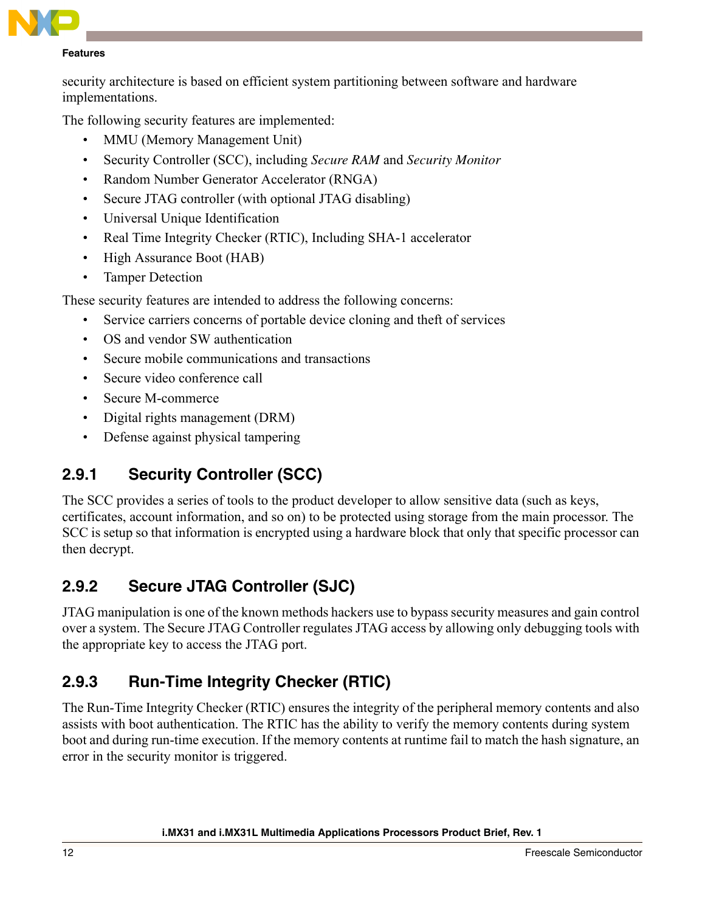

security architecture is based on efficient system partitioning between software and hardware implementations.

The following security features are implemented:

- MMU (Memory Management Unit)
- ï Security Controller (SCC), including *Secure RAM* and *Security Monitor*
- Random Number Generator Accelerator (RNGA)
- Secure JTAG controller (with optional JTAG disabling)
- Universal Unique Identification
- Real Time Integrity Checker (RTIC), Including SHA-1 accelerator
- High Assurance Boot (HAB)
- Tamper Detection

These security features are intended to address the following concerns:

- Service carriers concerns of portable device cloning and theft of services
- OS and vendor SW authentication
- Secure mobile communications and transactions
- Secure video conference call
- Secure M-commerce
- Digital rights management (DRM)
- Defense against physical tampering

# **2.9.1 Security Controller (SCC)**

The SCC provides a series of tools to the product developer to allow sensitive data (such as keys, certificates, account information, and so on) to be protected using storage from the main processor. The SCC is setup so that information is encrypted using a hardware block that only that specific processor can then decrypt.

# **2.9.2 Secure JTAG Controller (SJC)**

JTAG manipulation is one of the known methods hackers use to bypass security measures and gain control over a system. The Secure JTAG Controller regulates JTAG access by allowing only debugging tools with the appropriate key to access the JTAG port.

# **2.9.3 Run-Time Integrity Checker (RTIC)**

The Run-Time Integrity Checker (RTIC) ensures the integrity of the peripheral memory contents and also assists with boot authentication. The RTIC has the ability to verify the memory contents during system boot and during run-time execution. If the memory contents at runtime fail to match the hash signature, an error in the security monitor is triggered.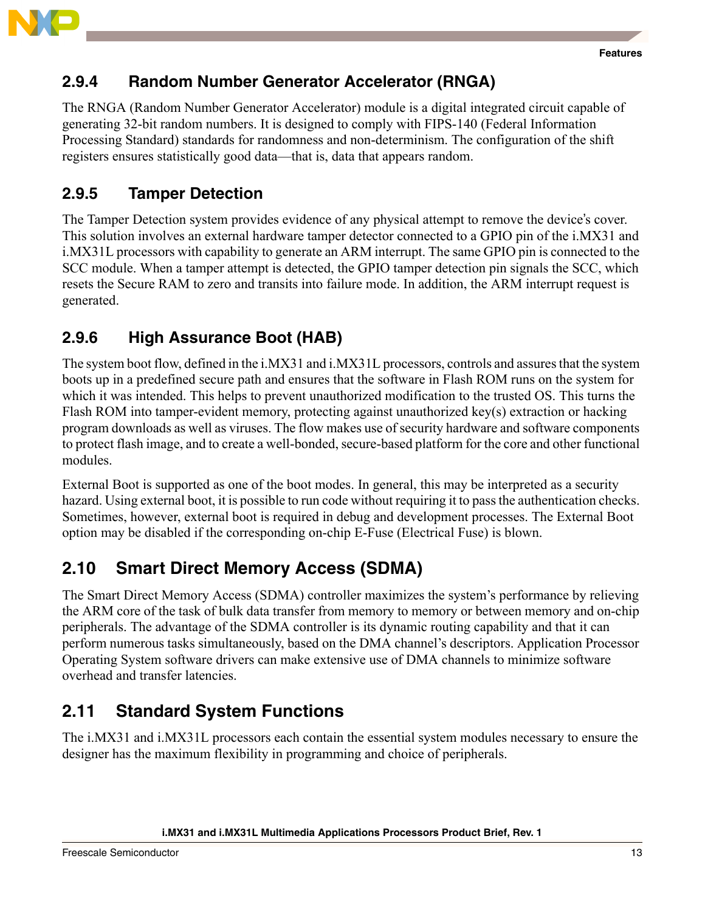

### **2.9.4 Random Number Generator Accelerator (RNGA)**

The RNGA (Random Number Generator Accelerator) module is a digital integrated circuit capable of generating 32-bit random numbers. It is designed to comply with FIPS-140 (Federal Information Processing Standard) standards for randomness and non-determinism. The configuration of the shift registers ensures statistically good data—that is, data that appears random.

### **2.9.5 Tamper Detection**

The Tamper Detection system provides evidence of any physical attempt to remove the device's cover. This solution involves an external hardware tamper detector connected to a GPIO pin of the i.MX31 and i.MX31L processors with capability to generate an ARM interrupt. The same GPIO pin is connected to the SCC module. When a tamper attempt is detected, the GPIO tamper detection pin signals the SCC, which resets the Secure RAM to zero and transits into failure mode. In addition, the ARM interrupt request is generated.

## **2.9.6 High Assurance Boot (HAB)**

The system boot flow, defined in the i.MX31 and i.MX31L processors, controls and assures that the system boots up in a predefined secure path and ensures that the software in Flash ROM runs on the system for which it was intended. This helps to prevent unauthorized modification to the trusted OS. This turns the Flash ROM into tamper-evident memory, protecting against unauthorized key(s) extraction or hacking program downloads as well as viruses. The flow makes use of security hardware and software components to protect flash image, and to create a well-bonded, secure-based platform for the core and other functional modules.

External Boot is supported as one of the boot modes. In general, this may be interpreted as a security hazard. Using external boot, it is possible to run code without requiring it to pass the authentication checks. Sometimes, however, external boot is required in debug and development processes. The External Boot option may be disabled if the corresponding on-chip E-Fuse (Electrical Fuse) is blown.

# **2.10 Smart Direct Memory Access (SDMA)**

The Smart Direct Memory Access (SDMA) controller maximizes the system's performance by relieving the ARM core of the task of bulk data transfer from memory to memory or between memory and on-chip peripherals. The advantage of the SDMA controller is its dynamic routing capability and that it can perform numerous tasks simultaneously, based on the DMA channelís descriptors. Application Processor Operating System software drivers can make extensive use of DMA channels to minimize software overhead and transfer latencies.

# **2.11 Standard System Functions**

The i.MX31 and i.MX31L processors each contain the essential system modules necessary to ensure the designer has the maximum flexibility in programming and choice of peripherals.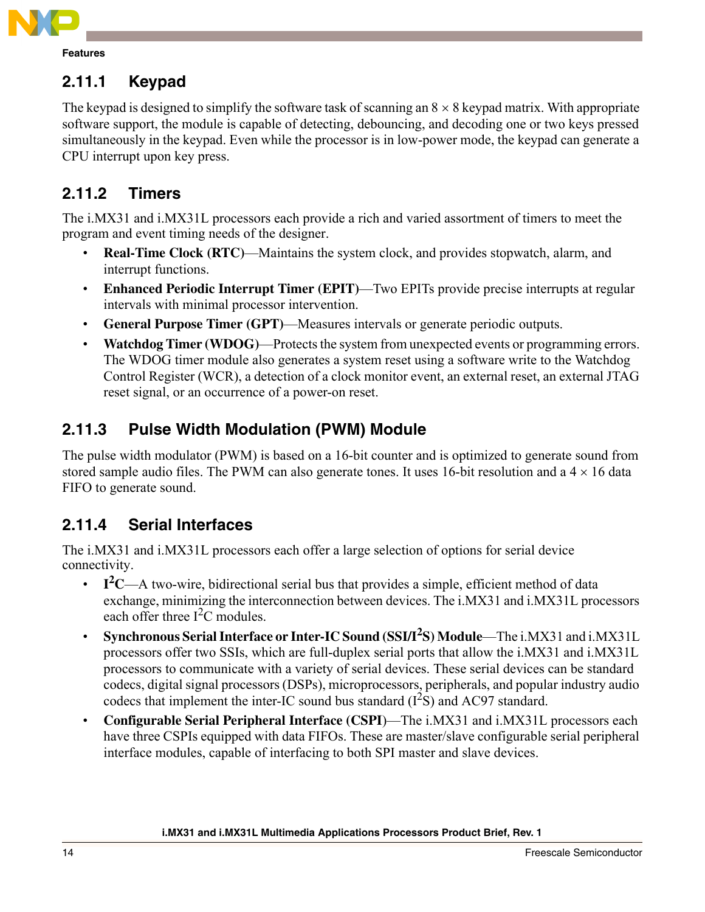

## **2.11.1 Keypad**

The keypad is designed to simplify the software task of scanning an  $8 \times 8$  keypad matrix. With appropriate software support, the module is capable of detecting, debouncing, and decoding one or two keys pressed simultaneously in the keypad. Even while the processor is in low-power mode, the keypad can generate a CPU interrupt upon key press.

### **2.11.2 Timers**

The i.MX31 and i.MX31L processors each provide a rich and varied assortment of timers to meet the program and event timing needs of the designer.

- **Real-Time Clock (RTC)—Maintains the system clock, and provides stopwatch, alarm, and** interrupt functions.
- **Enhanced Periodic Interrupt Timer (EPIT)—Two EPITs provide precise interrupts at regular** intervals with minimal processor intervention.
- **General Purpose Timer (GPT)—Measures intervals or generate periodic outputs.**
- **Watchdog Timer (WDOG)—Protects the system from unexpected events or programming errors.** The WDOG timer module also generates a system reset using a software write to the Watchdog Control Register (WCR), a detection of a clock monitor event, an external reset, an external JTAG reset signal, or an occurrence of a power-on reset.

# **2.11.3 Pulse Width Modulation (PWM) Module**

The pulse width modulator (PWM) is based on a 16-bit counter and is optimized to generate sound from stored sample audio files. The PWM can also generate tones. It uses 16-bit resolution and a  $4 \times 16$  data FIFO to generate sound.

### **2.11.4 Serial Interfaces**

The i.MX31 and i.MX31L processors each offer a large selection of options for serial device connectivity.

- $\cdot$  **I**<sup>2</sup>C—A two-wire, bidirectional serial bus that provides a simple, efficient method of data exchange, minimizing the interconnection between devices. The i.MX31 and i.MX31L processors each offer three  $I^2C$  modules.
- **Synchronous Serial Interface or Inter-IC Sound (SSI/I<sup>2</sup>S) Module—The i.MX31 and i.MX31L** processors offer two SSIs, which are full-duplex serial ports that allow the i.MX31 and i.MX31L processors to communicate with a variety of serial devices. These serial devices can be standard codecs, digital signal processors (DSPs), microprocessors, peripherals, and popular industry audio codecs that implement the inter-IC sound bus standard  $(I<sup>2</sup>S)$  and AC97 standard.
- **Configurable Serial Peripheral Interface (CSPI)**—The i.MX31 and i.MX31L processors each have three CSPIs equipped with data FIFOs. These are master/slave configurable serial peripheral interface modules, capable of interfacing to both SPI master and slave devices.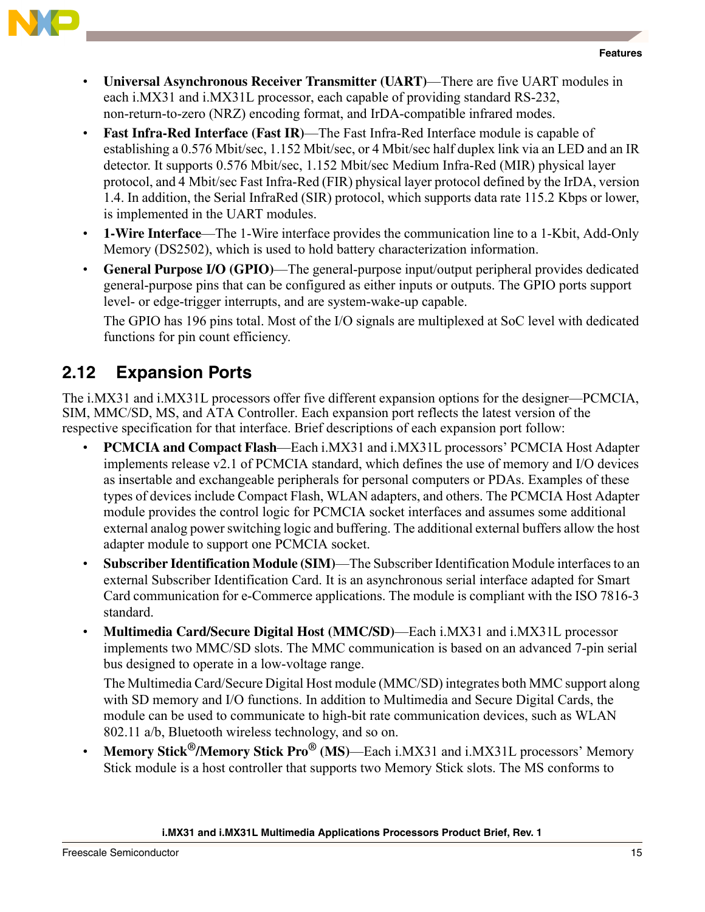



- **Universal Asynchronous Receiver Transmitter (UART)—There are five UART modules in** each i.MX31 and i.MX31L processor, each capable of providing standard RS-232, non-return-to-zero (NRZ) encoding format, and IrDA-compatible infrared modes.
- **Fast Infra-Red Interface (Fast IR)—The Fast Infra-Red Interface module is capable of** establishing a 0.576 Mbit/sec, 1.152 Mbit/sec, or 4 Mbit/sec half duplex link via an LED and an IR detector. It supports 0.576 Mbit/sec, 1.152 Mbit/sec Medium Infra-Red (MIR) physical layer protocol, and 4 Mbit/sec Fast Infra-Red (FIR) physical layer protocol defined by the IrDA, version 1.4. In addition, the Serial InfraRed (SIR) protocol, which supports data rate 115.2 Kbps or lower, is implemented in the UART modules.
- **1-Wire Interface—The 1-Wire interface provides the communication line to a 1-Kbit, Add-Only** Memory (DS2502), which is used to hold battery characterization information.
- **General Purpose I/O (GPIO)—The general-purpose input/output peripheral provides dedicated** general-purpose pins that can be configured as either inputs or outputs. The GPIO ports support level- or edge-trigger interrupts, and are system-wake-up capable.

The GPIO has 196 pins total. Most of the I/O signals are multiplexed at SoC level with dedicated functions for pin count efficiency.

# **2.12 Expansion Ports**

The i.MX31 and i.MX31L processors offer five different expansion options for the designer—PCMCIA, SIM, MMC/SD, MS, and ATA Controller. Each expansion port reflects the latest version of the respective specification for that interface. Brief descriptions of each expansion port follow:

- **PCMCIA and Compact Flash—Each i.MX31 and i.MX31L processors<sup>7</sup> PCMCIA Host Adapter** implements release v2.1 of PCMCIA standard, which defines the use of memory and I/O devices as insertable and exchangeable peripherals for personal computers or PDAs. Examples of these types of devices include Compact Flash, WLAN adapters, and others. The PCMCIA Host Adapter module provides the control logic for PCMCIA socket interfaces and assumes some additional external analog power switching logic and buffering. The additional external buffers allow the host adapter module to support one PCMCIA socket.
- **Subscriber Identification Module (SIM)—The Subscriber Identification Module interfaces to an** external Subscriber Identification Card. It is an asynchronous serial interface adapted for Smart Card communication for e-Commerce applications. The module is compliant with the ISO 7816-3 standard.
- **Multimedia Card/Secure Digital Host (MMC/SD)—Each i.MX31 and i.MX31L processor** implements two MMC/SD slots. The MMC communication is based on an advanced 7-pin serial bus designed to operate in a low-voltage range.

The Multimedia Card/Secure Digital Host module (MMC/SD) integrates both MMC support along with SD memory and I/O functions. In addition to Multimedia and Secure Digital Cards, the module can be used to communicate to high-bit rate communication devices, such as WLAN 802.11 a/b, Bluetooth wireless technology, and so on.

**Memory Stick<sup>®</sup>/Memory Stick Pro<sup>®</sup> (MS)—Each i.MX31 and i.MX31L processors<sup>***'***</sup> Memory</sup>** Stick module is a host controller that supports two Memory Stick slots. The MS conforms to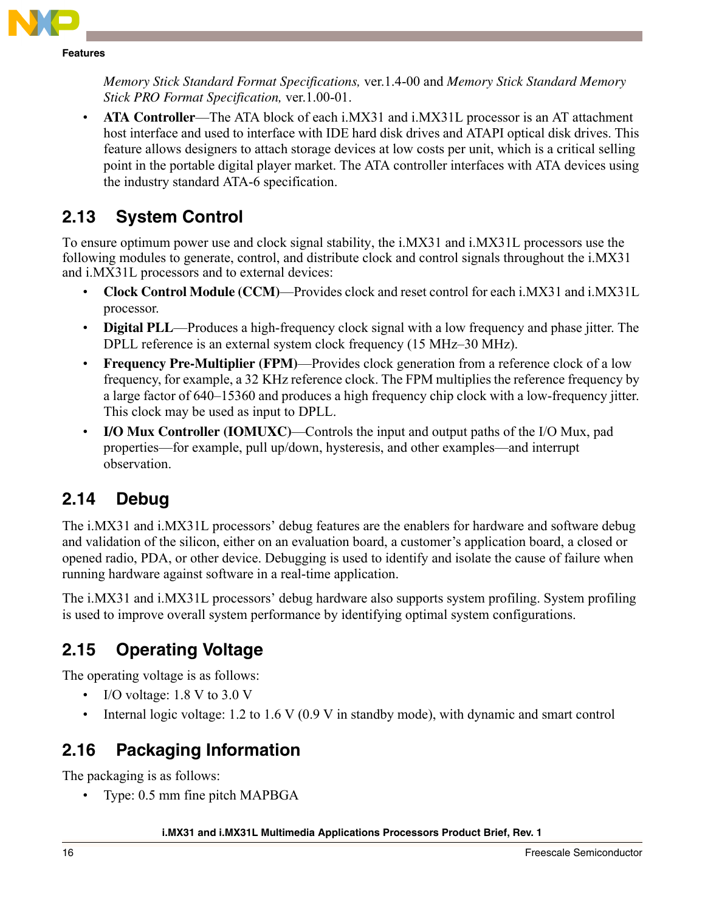

*Memory Stick Standard Format Specifications,* ver.1.4-00 and *Memory Stick Standard Memory Stick PRO Format Specification,* ver.1.00-01.

**ATA Controller**—The ATA block of each i.MX31 and i.MX31L processor is an AT attachment host interface and used to interface with IDE hard disk drives and ATAPI optical disk drives. This feature allows designers to attach storage devices at low costs per unit, which is a critical selling point in the portable digital player market. The ATA controller interfaces with ATA devices using the industry standard ATA-6 specification.

# **2.13 System Control**

To ensure optimum power use and clock signal stability, the i.MX31 and i.MX31L processors use the following modules to generate, control, and distribute clock and control signals throughout the i.MX31 and i.MX31L processors and to external devices:

- **Clock Control Module (CCM)—Provides clock and reset control for each i.MX31 and i.MX31L** processor.
- **Digital PLL—Produces a high-frequency clock signal with a low frequency and phase jitter. The** DPLL reference is an external system clock frequency  $(15 \text{ MHz}-30 \text{ MHz})$ .
- **Frequency Pre-Multiplier (FPM)—Provides clock generation from a reference clock of a low** frequency, for example, a 32 KHz reference clock. The FPM multiplies the reference frequency by a large factor of  $640-15360$  and produces a high frequency chip clock with a low-frequency jitter. This clock may be used as input to DPLL.
- **I/O Mux Controller (IOMUXC)—Controls the input and output paths of the I/O Mux, pad** properties—for example, pull up/down, hysteresis, and other examples—and interrupt observation.

# **2.14 Debug**

The i.MX31 and i.MX31L processors' debug features are the enablers for hardware and software debug and validation of the silicon, either on an evaluation board, a customer's application board, a closed or opened radio, PDA, or other device. Debugging is used to identify and isolate the cause of failure when running hardware against software in a real-time application.

The i.MX31 and i.MX31L processors' debug hardware also supports system profiling. System profiling is used to improve overall system performance by identifying optimal system configurations.

# **2.15 Operating Voltage**

The operating voltage is as follows:

- I/O voltage:  $1.8$  V to  $3.0$  V
- Internal logic voltage: 1.2 to 1.6 V (0.9 V in standby mode), with dynamic and smart control

# **2.16 Packaging Information**

The packaging is as follows:

Type: 0.5 mm fine pitch MAPBGA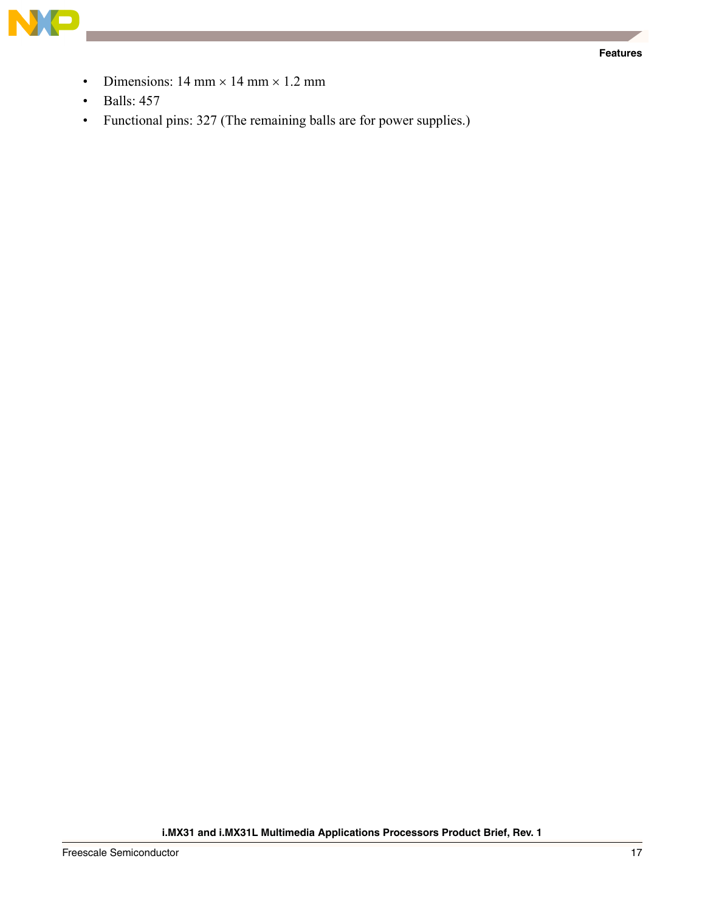

- Dimensions:  $14 \text{ mm} \times 14 \text{ mm} \times 1.2 \text{ mm}$
- $\cdot$  Balls: 457
- Functional pins: 327 (The remaining balls are for power supplies.)